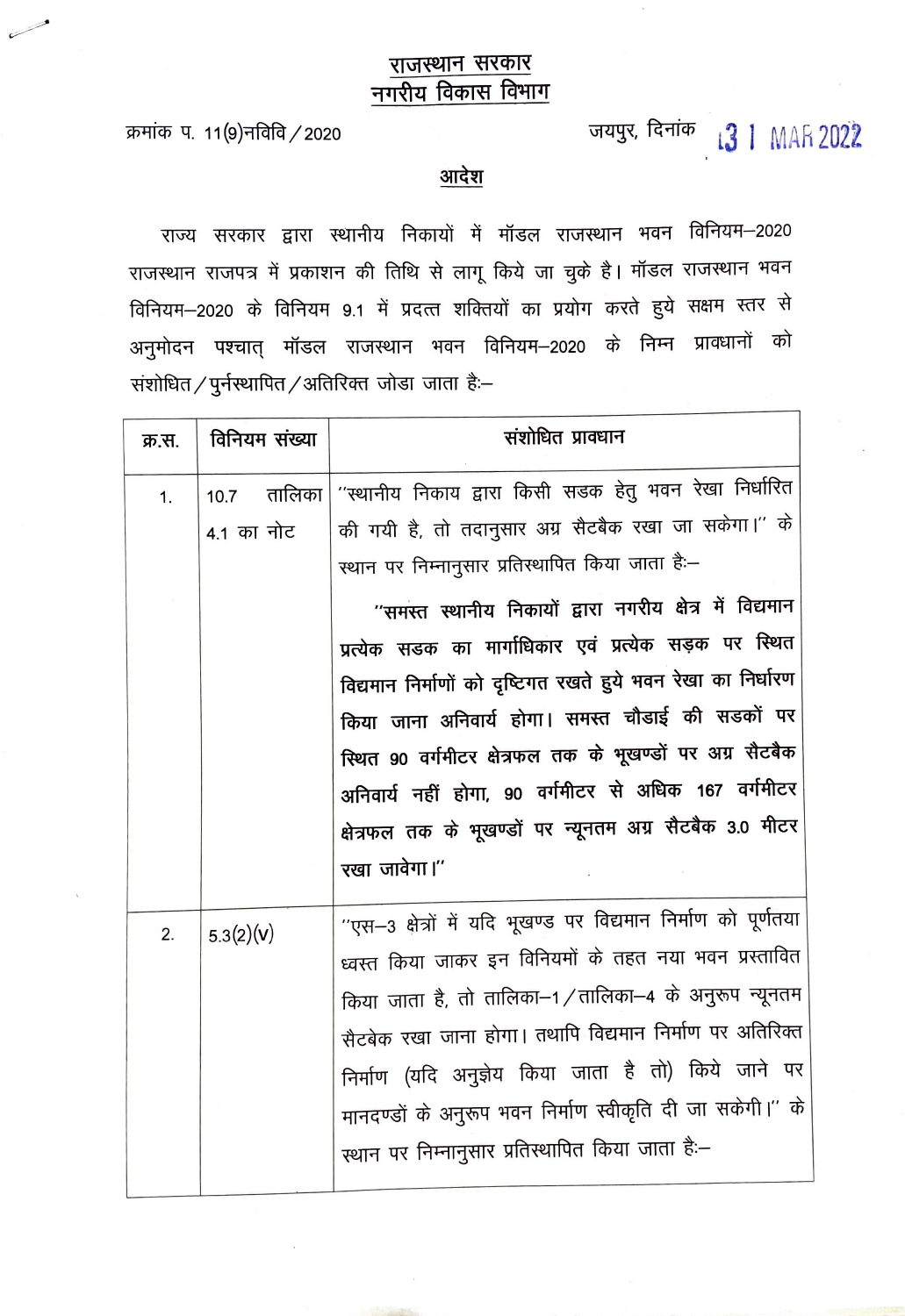## राजस्थान सरकार नगरीय विकास विभाग

क्रमांक प. 11(9)नविवि / 2020

## जयपुर, दिनांक <sub>1</sub>3 | MAR 2022

आदेश

राज्य सरकार द्वारा स्थानीय निकायों में मॉडल राजस्थान भवन विनियम–2020 राजस्थान राजपत्र में प्रकाशन की तिथि से लागू किये जा चुके है। मॉडल राजस्थान भवन विनियम-2020 के विनियम 9.1 में प्रदत्त शक्तियों का प्रयोग करते हुये सक्षम स्तर से अनुमोदन पश्चात् मॉडल राजस्थान भवन विनियम–2020 के निम्न प्रावधानों को संशोधित / पुर्नस्थापित / अतिरिक्त जोडा जाता है:–

| क्र.स. | विनियम संख्या | संशोधित प्रावधान                                                 |
|--------|---------------|------------------------------------------------------------------|
| 1.     | 10.7          | तालिका   ''स्थानीय निकाय द्वारा किसी सडक हेतु भवन रेखा निर्धारित |
|        | 4.1 का नोट    | की गयी है, तो तदानुसार अग्र सैटबैक रखा जा सकेगा।'' के            |
|        |               | स्थान पर निम्नानुसार प्रतिस्थापित किया जाता है:–                 |
|        |               | ''समस्त स्थानीय निकायों द्वारा नगरीय क्षेत्र में विद्यमान        |
|        |               | प्रत्येक सडक का मार्गाधिकार एवं प्रत्येक सड़क पर स्थित           |
|        |               | विद्यमान निर्माणों को दृष्टिगत रखते हुये भवन रेखा का निर्धारण    |
|        |               | किया जाना अनिवार्य होगा। समस्त चौडाई की सडकों पर                 |
|        |               | स्थित 90 वर्गमीटर क्षेत्रफल तक के भूखण्डों पर अग्र सैटबैक        |
|        |               | अनिवार्य नहीं होगा, 90 वर्गमीटर से अधिक 167 वर्गमीटर             |
|        |               | क्षेत्रफल तक के भूखण्डों पर न्यूनतम अग्र सैटबैक 3.0 मीटर         |
|        |               | रखा जावेगा।"                                                     |
| 2.     | 5.3(2)(v)     | ''एस-3 क्षेत्रों में यदि भूखण्ड पर विद्यमान निर्माण को पूर्णतया  |
|        |               | ध्वस्त किया जाकर इन विनियमों के तहत नया भवन प्रस्तावित           |
|        |               | किया जाता है, तो तालिका–1/तालिका–4 के अनुरूप न्यूनतम             |
|        |               | सैटबेक रखा जाना होगा। तथापि विद्यमान निर्माण पर अतिरिक्त         |
|        |               | निर्माण (यदि अनुज्ञेय किया जाता है तो) किये जाने पर              |
|        |               | मानदण्डों के अनुरूप भवन निर्माण स्वीकृति दी जा सकेगी।'' के       |
|        |               | स्थान पर निम्नानुसार प्रतिस्थापित किया जाता है:–                 |
|        |               |                                                                  |